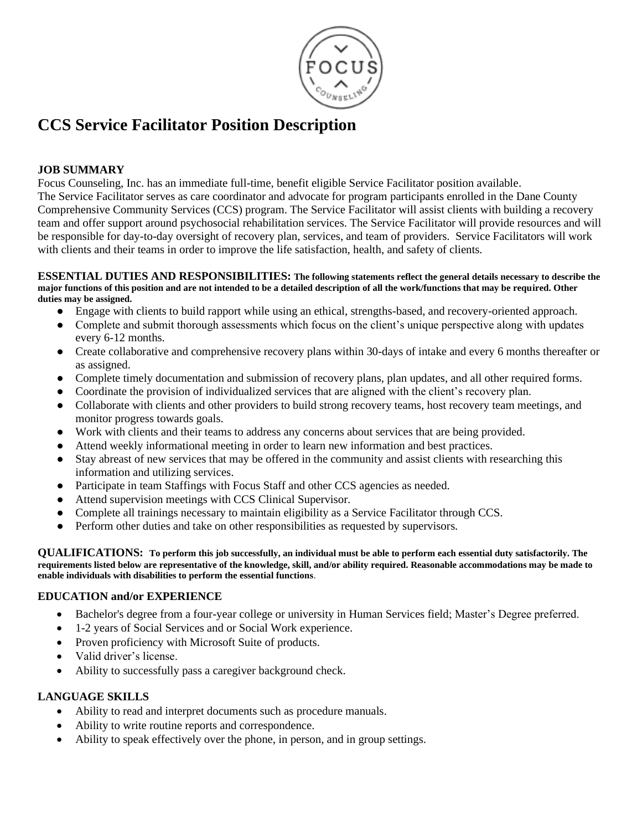

# **CCS Service Facilitator Position Description**

### **JOB SUMMARY**

Focus Counseling, Inc. has an immediate full-time, benefit eligible Service Facilitator position available. The Service Facilitator serves as care coordinator and advocate for program participants enrolled in the Dane County Comprehensive Community Services (CCS) program. The Service Facilitator will assist clients with building a recovery team and offer support around psychosocial rehabilitation services. The Service Facilitator will provide resources and will be responsible for day-to-day oversight of recovery plan, services, and team of providers. Service Facilitators will work with clients and their teams in order to improve the life satisfaction, health, and safety of clients.

#### **ESSENTIAL DUTIES AND RESPONSIBILITIES: The following statements reflect the general details necessary to describe the major functions of this position and are not intended to be a detailed description of all the work/functions that may be required. Other duties may be assigned.**

- Engage with clients to build rapport while using an ethical, strengths-based, and recovery-oriented approach.
- Complete and submit thorough assessments which focus on the client's unique perspective along with updates every 6-12 months.
- Create collaborative and comprehensive recovery plans within 30-days of intake and every 6 months thereafter or as assigned.
- Complete timely documentation and submission of recovery plans, plan updates, and all other required forms.
- Coordinate the provision of individualized services that are aligned with the client's recovery plan.
- Collaborate with clients and other providers to build strong recovery teams, host recovery team meetings, and monitor progress towards goals.
- Work with clients and their teams to address any concerns about services that are being provided.
- Attend weekly informational meeting in order to learn new information and best practices.
- Stay abreast of new services that may be offered in the community and assist clients with researching this information and utilizing services.
- Participate in team Staffings with Focus Staff and other CCS agencies as needed.
- Attend supervision meetings with CCS Clinical Supervisor.
- Complete all trainings necessary to maintain eligibility as a Service Facilitator through CCS.
- Perform other duties and take on other responsibilities as requested by supervisors.

**QUALIFICATIONS: To perform this job successfully, an individual must be able to perform each essential duty satisfactorily. The requirements listed below are representative of the knowledge, skill, and/or ability required. Reasonable accommodations may be made to enable individuals with disabilities to perform the essential functions**.

#### **EDUCATION and/or EXPERIENCE**

- Bachelor's degree from a four-year college or university in Human Services field; Master's Degree preferred.
- 1-2 years of Social Services and or Social Work experience.
- Proven proficiency with Microsoft Suite of products.
- Valid driver's license.
- Ability to successfully pass a caregiver background check.

### **LANGUAGE SKILLS**

- Ability to read and interpret documents such as procedure manuals.
- Ability to write routine reports and correspondence.
- Ability to speak effectively over the phone, in person, and in group settings.